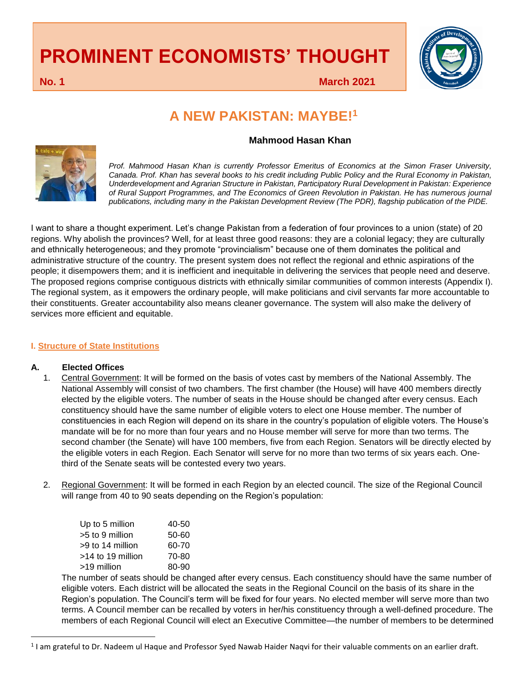# **PROMINENT ECONOMISTS' THOUGHT**



**No. 1 March 2021**

## **A NEW PAKISTAN: MAYBE!<sup>1</sup>**

### **Mahmood Hasan Khan**



*Prof. Mahmood Hasan Khan is currently Professor Emeritus of Economics at the Simon Fraser University, Canada. Prof. Khan has several books to his credit including Public Policy and the Rural Economy in Pakistan, Underdevelopment and Agrarian Structure in Pakistan, Participatory Rural Development in Pakistan: Experience of Rural Support Programmes, and The Economics of Green Revolution in Pakistan. He has numerous journal publications, including many in the Pakistan Development Review (The PDR), flagship publication of the PIDE.* 

I want to share a thought experiment. Let's change Pakistan from a federation of four provinces to a union (state) of 20 regions. Why abolish the provinces? Well, for at least three good reasons: they are a colonial legacy; they are culturally and ethnically heterogeneous; and they promote "provincialism" because one of them dominates the political and administrative structure of the country. The present system does not reflect the regional and ethnic aspirations of the people; it disempowers them; and it is inefficient and inequitable in delivering the services that people need and deserve. The proposed regions comprise contiguous districts with ethnically similar communities of common interests (Appendix I). The regional system, as it empowers the ordinary people, will make politicians and civil servants far more accountable to their constituents. Greater accountability also means cleaner governance. The system will also make the delivery of services more efficient and equitable.

#### **I. Structure of State Institutions**

#### **A. Elected Offices**

 $\overline{\phantom{a}}$ 

- 1. Central Government: It will be formed on the basis of votes cast by members of the National Assembly. The National Assembly will consist of two chambers. The first chamber (the House) will have 400 members directly elected by the eligible voters. The number of seats in the House should be changed after every census. Each constituency should have the same number of eligible voters to elect one House member. The number of constituencies in each Region will depend on its share in the country's population of eligible voters. The House's mandate will be for no more than four years and no House member will serve for more than two terms. The second chamber (the Senate) will have 100 members, five from each Region. Senators will be directly elected by the eligible voters in each Region. Each Senator will serve for no more than two terms of six years each. Onethird of the Senate seats will be contested every two years.
- 2. Regional Government: It will be formed in each Region by an elected council. The size of the Regional Council will range from 40 to 90 seats depending on the Region's population:

| Up to 5 million     | 40-50 |
|---------------------|-------|
| >5 to 9 million     | 50-60 |
| >9 to 14 million    | 60-70 |
| $>14$ to 19 million | 70-80 |
| >19 million         | 80-90 |

The number of seats should be changed after every census. Each constituency should have the same number of eligible voters. Each district will be allocated the seats in the Regional Council on the basis of its share in the Region's population. The Council's term will be fixed for four years. No elected member will serve more than two terms. A Council member can be recalled by voters in her/his constituency through a well-defined procedure. The members of each Regional Council will elect an Executive Committee—the number of members to be determined

 $1$ I am grateful to Dr. Nadeem ul Haque and Professor Syed Nawab Haider Naqvi for their valuable comments on an earlier draft.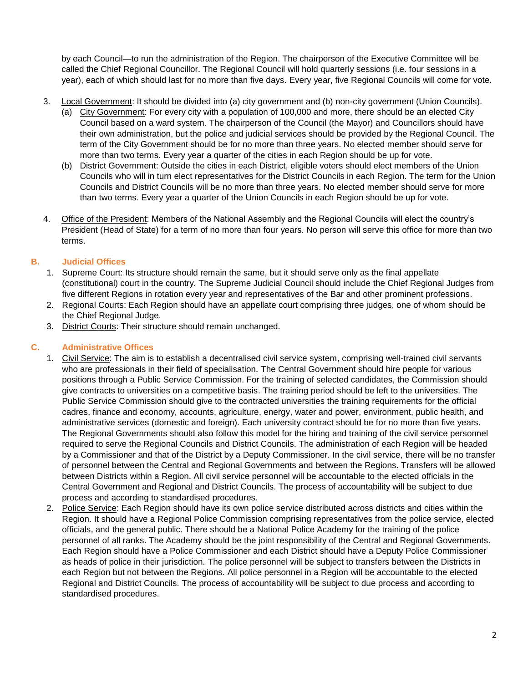by each Council—to run the administration of the Region. The chairperson of the Executive Committee will be called the Chief Regional Councillor. The Regional Council will hold quarterly sessions (i.e. four sessions in a year), each of which should last for no more than five days. Every year, five Regional Councils will come for vote.

- 3. Local Government: It should be divided into (a) city government and (b) non-city government (Union Councils).
	- (a) City Government: For every city with a population of 100,000 and more, there should be an elected City Council based on a ward system. The chairperson of the Council (the Mayor) and Councillors should have their own administration, but the police and judicial services should be provided by the Regional Council. The term of the City Government should be for no more than three years. No elected member should serve for more than two terms. Every year a quarter of the cities in each Region should be up for vote.
	- (b) District Government: Outside the cities in each District, eligible voters should elect members of the Union Councils who will in turn elect representatives for the District Councils in each Region. The term for the Union Councils and District Councils will be no more than three years. No elected member should serve for more than two terms. Every year a quarter of the Union Councils in each Region should be up for vote.
- 4. Office of the President: Members of the National Assembly and the Regional Councils will elect the country's President (Head of State) for a term of no more than four years. No person will serve this office for more than two terms.

### **B. Judicial Offices**

- 1. Supreme Court: Its structure should remain the same, but it should serve only as the final appellate (constitutional) court in the country. The Supreme Judicial Council should include the Chief Regional Judges from five different Regions in rotation every year and representatives of the Bar and other prominent professions.
- 2. Regional Courts: Each Region should have an appellate court comprising three judges, one of whom should be the Chief Regional Judge.
- 3. District Courts: Their structure should remain unchanged.

#### **C. Administrative Offices**

- 1. Civil Service: The aim is to establish a decentralised civil service system, comprising well-trained civil servants who are professionals in their field of specialisation. The Central Government should hire people for various positions through a Public Service Commission. For the training of selected candidates, the Commission should give contracts to universities on a competitive basis. The training period should be left to the universities. The Public Service Commission should give to the contracted universities the training requirements for the official cadres, finance and economy, accounts, agriculture, energy, water and power, environment, public health, and administrative services (domestic and foreign). Each university contract should be for no more than five years. The Regional Governments should also follow this model for the hiring and training of the civil service personnel required to serve the Regional Councils and District Councils. The administration of each Region will be headed by a Commissioner and that of the District by a Deputy Commissioner. In the civil service, there will be no transfer of personnel between the Central and Regional Governments and between the Regions. Transfers will be allowed between Districts within a Region. All civil service personnel will be accountable to the elected officials in the Central Government and Regional and District Councils. The process of accountability will be subject to due process and according to standardised procedures.
- 2. Police Service: Each Region should have its own police service distributed across districts and cities within the Region. It should have a Regional Police Commission comprising representatives from the police service, elected officials, and the general public. There should be a National Police Academy for the training of the police personnel of all ranks. The Academy should be the joint responsibility of the Central and Regional Governments. Each Region should have a Police Commissioner and each District should have a Deputy Police Commissioner as heads of police in their jurisdiction. The police personnel will be subject to transfers between the Districts in each Region but not between the Regions. All police personnel in a Region will be accountable to the elected Regional and District Councils. The process of accountability will be subject to due process and according to standardised procedures.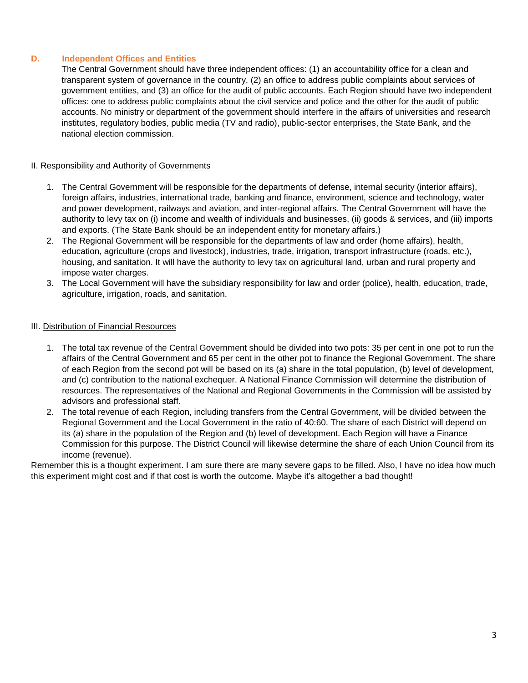#### **D. Independent Offices and Entities**

The Central Government should have three independent offices: (1) an accountability office for a clean and transparent system of governance in the country, (2) an office to address public complaints about services of government entities, and (3) an office for the audit of public accounts. Each Region should have two independent offices: one to address public complaints about the civil service and police and the other for the audit of public accounts. No ministry or department of the government should interfere in the affairs of universities and research institutes, regulatory bodies, public media (TV and radio), public-sector enterprises, the State Bank, and the national election commission.

#### II. Responsibility and Authority of Governments

- 1. The Central Government will be responsible for the departments of defense, internal security (interior affairs), foreign affairs, industries, international trade, banking and finance, environment, science and technology, water and power development, railways and aviation, and inter-regional affairs. The Central Government will have the authority to levy tax on (i) income and wealth of individuals and businesses, (ii) goods & services, and (iii) imports and exports. (The State Bank should be an independent entity for monetary affairs.)
- 2. The Regional Government will be responsible for the departments of law and order (home affairs), health, education, agriculture (crops and livestock), industries, trade, irrigation, transport infrastructure (roads, etc.), housing, and sanitation. It will have the authority to levy tax on agricultural land, urban and rural property and impose water charges.
- 3. The Local Government will have the subsidiary responsibility for law and order (police), health, education, trade, agriculture, irrigation, roads, and sanitation.

#### III. Distribution of Financial Resources

- 1. The total tax revenue of the Central Government should be divided into two pots: 35 per cent in one pot to run the affairs of the Central Government and 65 per cent in the other pot to finance the Regional Government. The share of each Region from the second pot will be based on its (a) share in the total population, (b) level of development, and (c) contribution to the national exchequer. A National Finance Commission will determine the distribution of resources. The representatives of the National and Regional Governments in the Commission will be assisted by advisors and professional staff.
- 2. The total revenue of each Region, including transfers from the Central Government, will be divided between the Regional Government and the Local Government in the ratio of 40:60. The share of each District will depend on its (a) share in the population of the Region and (b) level of development. Each Region will have a Finance Commission for this purpose. The District Council will likewise determine the share of each Union Council from its income (revenue).

Remember this is a thought experiment. I am sure there are many severe gaps to be filled. Also, I have no idea how much this experiment might cost and if that cost is worth the outcome. Maybe it's altogether a bad thought!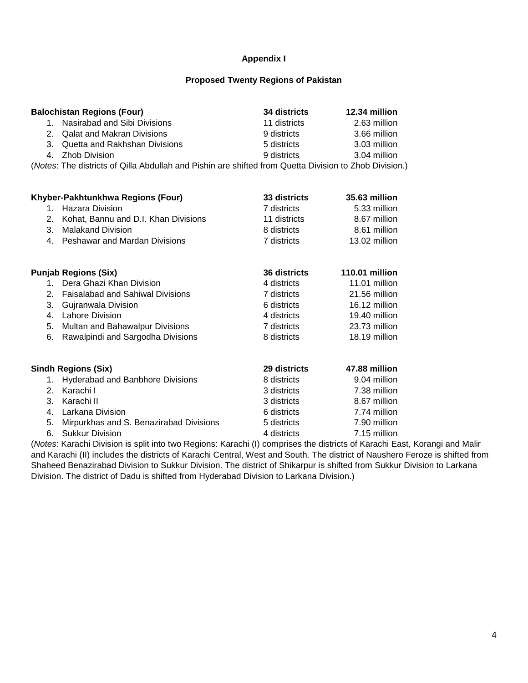#### **Appendix I**

#### **Proposed Twenty Regions of Pakistan**

|    | <b>Balochistan Regions (Four)</b>                                                                      | 34 districts | 12.34 million |
|----|--------------------------------------------------------------------------------------------------------|--------------|---------------|
| 1. | Nasirabad and Sibi Divisions                                                                           | 11 districts | 2.63 million  |
| 2. | <b>Qalat and Makran Divisions</b>                                                                      | 9 districts  | 3.66 million  |
| 3. | Quetta and Rakhshan Divisions                                                                          | 5 districts  | 3.03 million  |
| 4. | Zhob Division                                                                                          | 9 districts  | 3.04 million  |
|    | (Notes: The districts of Qilla Abdullah and Pishin are shifted from Quetta Division to Zhob Division.) |              |               |
|    |                                                                                                        |              |               |
|    | Khyber-Pakhtunkhwa Regions (Four)                                                                      | 33 districts | 35.63 million |
|    | Hazara Division                                                                                        | 7 districts  | 5.33 million  |
| 2. | Kohat, Bannu and D.I. Khan Divisions                                                                   | 11 districts | 8.67 million  |
| 3. | Malakand Division                                                                                      | 8 districts  | 8.61 million  |
| 4  | <b>Peshawar and Mardan Divisions</b>                                                                   | 7 districts  | 13.02 million |

|         | <b>Punjab Regions (Six)</b>             | 36 districts | 110.01 million |
|---------|-----------------------------------------|--------------|----------------|
| 1.      | Dera Ghazi Khan Division                | 4 districts  | 11.01 million  |
| 2.      | <b>Faisalabad and Sahiwal Divisions</b> | 7 districts  | 21.56 million  |
| 3.      | Gujranwala Division                     | 6 districts  | 16.12 million  |
| 4.      | Lahore Division                         | 4 districts  | 19.40 million  |
| 5.      | Multan and Bahawalpur Divisions         | 7 districts  | 23.73 million  |
| 6.      | Rawalpindi and Sargodha Divisions       | 8 districts  | 18.19 million  |
|         |                                         |              |                |
|         | Sindh Regions (Six)                     | 29 districts | 47.88 million  |
| 1.      | <b>Hyderabad and Banbhore Divisions</b> | 8 districts  | 9.04 million   |
| 2.      | Karachi I                               | 3 districts  | 7.38 million   |
| 3.      | Karachi II                              | 3 districts  | 8.67 million   |
| $4_{-}$ | Larkana Division                        | 6 districts  | 7.74 million   |
| 5.      | Mirpurkhas and S. Benazirabad Divisions | 5 districts  | 7.90 million   |
| 6.      | <b>Sukkur Division</b>                  | 4 districts  | 7.15 million   |

(*Notes*: Karachi Division is split into two Regions: Karachi (I) comprises the districts of Karachi East, Korangi and Malir and Karachi (II) includes the districts of Karachi Central, West and South. The district of Naushero Feroze is shifted from Shaheed Benazirabad Division to Sukkur Division. The district of Shikarpur is shifted from Sukkur Division to Larkana Division. The district of Dadu is shifted from Hyderabad Division to Larkana Division.)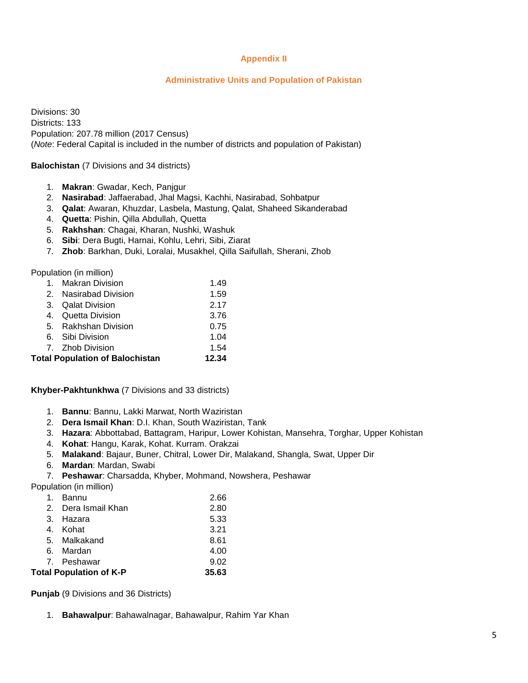#### **Appendix II**

#### **Administrative Units and Population of Pakistan**

Divisions: 30 Districts: 133 Population: 207.78 million (2017 Census) (*Note*: Federal Capital is included in the number of districts and population of Pakistan)

#### **Balochistan** (7 Divisions and 34 districts)

- 1. **Makran**: Gwadar, Kech, Panjgur
- 2. **Nasirabad**: Jaffaerabad, Jhal Magsi, Kachhi, Nasirabad, Sohbatpur
- 3. **Qalat**: Awaran, Khuzdar, Lasbela, Mastung, Qalat, Shaheed Sikanderabad
- 4. **Quetta**: Pishin, Qilla Abdullah, Quetta
- 5. **Rakhshan**: Chagai, Kharan, Nushki, Washuk
- 6. **Sibi**: Dera Bugti, Harnai, Kohlu, Lehri, Sibi, Ziarat
- 7. **Zhob**: Barkhan, Duki, Loralai, Musakhel, Qilla Saifullah, Sherani, Zhob

Population (in million)

|                                        | 1. Makran Division    | 1.49  |
|----------------------------------------|-----------------------|-------|
|                                        | 2. Nasirabad Division | 1.59  |
| 3.                                     | Qalat Division        | 2.17  |
| 4.                                     | Quetta Division       | 3.76  |
|                                        | 5. Rakhshan Division  | 0.75  |
|                                        | 6. Sibi Division      | 1.04  |
|                                        | 7. Zhob Division      | 1.54  |
| <b>Total Population of Balochistan</b> |                       | 12.34 |

**Khyber-Pakhtunkhwa** (7 Divisions and 33 districts)

- 1. **Bannu**: Bannu, Lakki Marwat, North Waziristan
- 2. **Dera Ismail Khan**: D.I. Khan, South Waziristan, Tank
- 3. **Hazara**: Abbottabad, Battagram, Haripur, Lower Kohistan, Mansehra, Torghar, Upper Kohistan
- 4. **Kohat**: Hangu, Karak, Kohat. Kurram. Orakzai
- 5. **Malakand**: Bajaur, Buner, Chitral, Lower Dir, Malakand, Shangla, Swat, Upper Dir
- 6. **Mardan**: Mardan, Swabi
- 7. **Peshawar**: Charsadda, Khyber, Mohmand, Nowshera, Peshawar

Population (in million)

| 1.                             | Bannu               | 2.66  |
|--------------------------------|---------------------|-------|
|                                | 2. Dera Ismail Khan | 2.80  |
|                                | 3. Hazara           | 5.33  |
|                                | 4. Kohat            | 3.21  |
|                                | 5. Malkakand        | 8.61  |
|                                | 6. Mardan           | 4.00  |
|                                | 7. Peshawar         | 9.02  |
| <b>Total Population of K-P</b> |                     | 35.63 |

**Punjab** (9 Divisions and 36 Districts)

1. **Bahawalpur**: Bahawalnagar, Bahawalpur, Rahim Yar Khan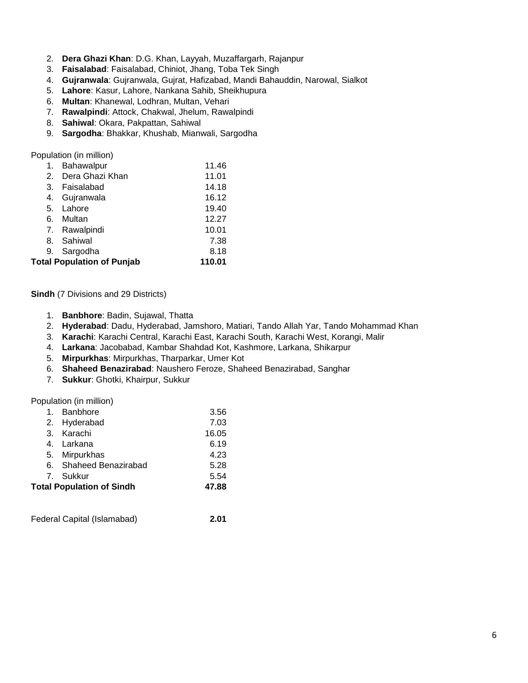- 2. **Dera Ghazi Khan**: D.G. Khan, Layyah, Muzaffargarh, Rajanpur
- 3. **Faisalabad**: Faisalabad, Chiniot, Jhang, Toba Tek Singh
- 4. **Gujranwala**: Gujranwala, Gujrat, Hafizabad, Mandi Bahauddin, Narowal, Sialkot
- 5. **Lahore**: Kasur, Lahore, Nankana Sahib, Sheikhupura
- 6. **Multan**: Khanewal, Lodhran, Multan, Vehari
- 7. **Rawalpindi**: Attock, Chakwal, Jhelum, Rawalpindi
- 8. **Sahiwal**: Okara, Pakpattan, Sahiwal
- 9. **Sargodha**: Bhakkar, Khushab, Mianwali, Sargodha

Population (in million)

| Bahawalpur                        | 11.46  |
|-----------------------------------|--------|
| Dera Ghazi Khan                   | 11.01  |
| Faisalabad                        | 14.18  |
| Gujranwala                        | 16.12  |
| Lahore                            | 19.40  |
| Multan                            | 12.27  |
| 7. Rawalpindi                     | 10.01  |
| 8. Sahiwal                        | 7.38   |
| 9. Sargodha                       | 8.18   |
| <b>Total Population of Punjab</b> | 110.01 |
|                                   |        |

#### **Sindh** (7 Divisions and 29 Districts)

- 1. **Banbhore**: Badin, Sujawal, Thatta
- 2. **Hyderabad**: Dadu, Hyderabad, Jamshoro, Matiari, Tando Allah Yar, Tando Mohammad Khan
- 3. **Karachi**: Karachi Central, Karachi East, Karachi South, Karachi West, Korangi, Malir
- 4. **Larkana**: Jacobabad, Kambar Shahdad Kot, Kashmore, Larkana, Shikarpur
- 5. **Mirpurkhas**: Mirpurkhas, Tharparkar, Umer Kot
- 6. **Shaheed Benazirabad**: Naushero Feroze, Shaheed Benazirabad, Sanghar
- 7. **Sukkur**: Ghotki, Khairpur, Sukkur

Population (in million)

| Banbhore<br>1.                   | 3.56  |
|----------------------------------|-------|
| 2. Hyderabad                     | 7.03  |
| Karachi<br>3.                    | 16.05 |
| 4. Larkana                       | 6.19  |
| 5. Mirpurkhas                    | 4.23  |
| 6. Shaheed Benazirabad           | 5.28  |
| 7. Sukkur                        | 5.54  |
| <b>Total Population of Sindh</b> | 47.88 |
|                                  |       |

Federal Capital (Islamabad) **2.01**